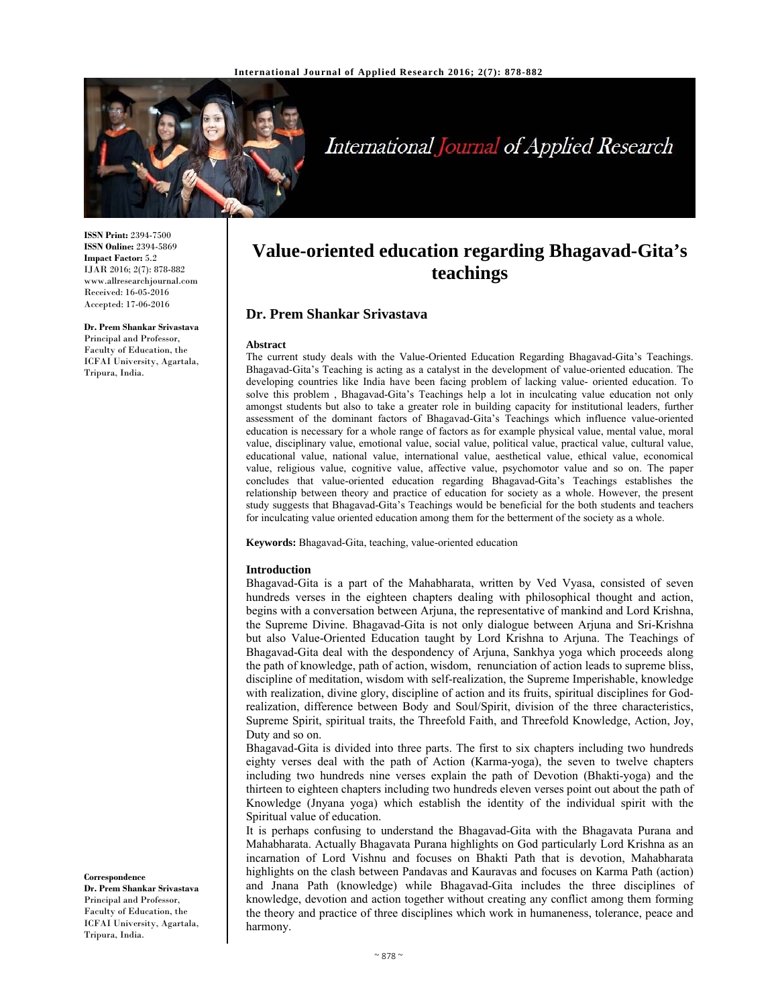

# International Journal of Applied Research

**ISSN Print:** 2394-7500 **ISSN Online:** 2394-5869 **Impact Factor:** 5.2 IJAR 2016; 2(7): 878-882 www.allresearchjournal.com Received: 16-05-2016 Accepted: 17-06-2016

#### **Dr. Prem Shankar Srivastava**

Principal and Professor, Faculty of Education, the ICFAI University, Agartala, Tripura, India.

# **Value-oriented education regarding Bhagavad-Gita's teachings**

# **Dr. Prem Shankar Srivastava**

#### **Abstract**

The current study deals with the Value-Oriented Education Regarding Bhagavad-Gita's Teachings. Bhagavad-Gita's Teaching is acting as a catalyst in the development of value-oriented education. The developing countries like India have been facing problem of lacking value- oriented education. To solve this problem , Bhagavad-Gita's Teachings help a lot in inculcating value education not only amongst students but also to take a greater role in building capacity for institutional leaders, further assessment of the dominant factors of Bhagavad-Gita's Teachings which influence value-oriented education is necessary for a whole range of factors as for example physical value, mental value, moral value, disciplinary value, emotional value, social value, political value, practical value, cultural value, educational value, national value, international value, aesthetical value, ethical value, economical value, religious value, cognitive value, affective value, psychomotor value and so on. The paper concludes that value-oriented education regarding Bhagavad-Gita's Teachings establishes the relationship between theory and practice of education for society as a whole. However, the present study suggests that Bhagavad-Gita's Teachings would be beneficial for the both students and teachers for inculcating value oriented education among them for the betterment of the society as a whole.

**Keywords:** Bhagavad-Gita, teaching, value-oriented education

#### **Introduction**

Bhagavad-Gita is a part of the Mahabharata, written by Ved Vyasa, consisted of seven hundreds verses in the eighteen chapters dealing with philosophical thought and action, begins with a conversation between Arjuna, the representative of mankind and Lord Krishna, the Supreme Divine. Bhagavad-Gita is not only dialogue between Arjuna and Sri-Krishna but also Value-Oriented Education taught by Lord Krishna to Arjuna. The Teachings of Bhagavad-Gita deal with the despondency of Arjuna, Sankhya yoga which proceeds along the path of knowledge, path of action, wisdom, renunciation of action leads to supreme bliss, discipline of meditation, wisdom with self-realization, the Supreme Imperishable, knowledge with realization, divine glory, discipline of action and its fruits, spiritual disciplines for Godrealization, difference between Body and Soul/Spirit, division of the three characteristics, Supreme Spirit, spiritual traits, the Threefold Faith, and Threefold Knowledge, Action, Joy, Duty and so on.

Bhagavad-Gita is divided into three parts. The first to six chapters including two hundreds eighty verses deal with the path of Action (Karma-yoga), the seven to twelve chapters including two hundreds nine verses explain the path of Devotion (Bhakti-yoga) and the thirteen to eighteen chapters including two hundreds eleven verses point out about the path of Knowledge (Jnyana yoga) which establish the identity of the individual spirit with the Spiritual value of education.

It is perhaps confusing to understand the Bhagavad-Gita with the Bhagavata Purana and Mahabharata. Actually Bhagavata Purana highlights on God particularly Lord Krishna as an incarnation of Lord Vishnu and focuses on Bhakti Path that is devotion, Mahabharata highlights on the clash between Pandavas and Kauravas and focuses on Karma Path (action) and Jnana Path (knowledge) while Bhagavad-Gita includes the three disciplines of knowledge, devotion and action together without creating any conflict among them forming the theory and practice of three disciplines which work in humaneness, tolerance, peace and harmony.

#### **Correspondence**

**Dr. Prem Shankar Srivastava**  Principal and Professor, Faculty of Education, the ICFAI University, Agartala, Tripura, India.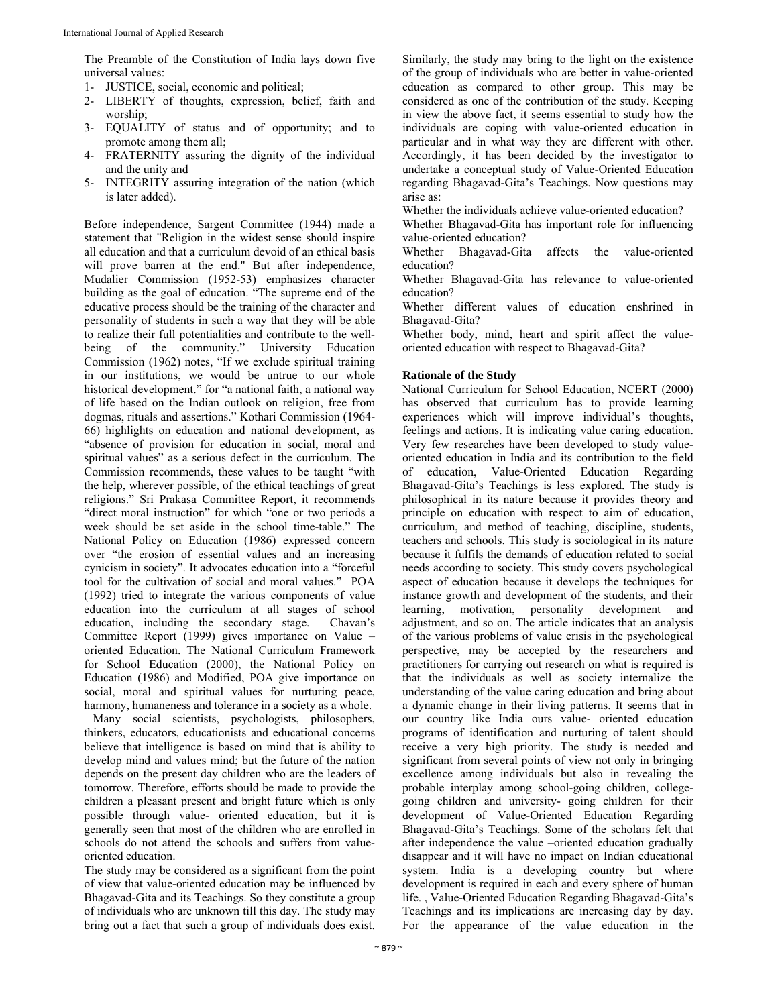The Preamble of the Constitution of India lays down five universal values:

- 1- JUSTICE, social, economic and political;
- 2- LIBERTY of thoughts, expression, belief, faith and worship;
- 3- EQUALITY of status and of opportunity; and to promote among them all;
- 4- FRATERNITY assuring the dignity of the individual and the unity and
- 5- INTEGRITY assuring integration of the nation (which is later added).

Before independence, Sargent Committee (1944) made a statement that "Religion in the widest sense should inspire all education and that a curriculum devoid of an ethical basis will prove barren at the end." But after independence, Mudalier Commission (1952-53) emphasizes character building as the goal of education. "The supreme end of the educative process should be the training of the character and personality of students in such a way that they will be able to realize their full potentialities and contribute to the wellbeing of the community." University Education Commission (1962) notes, "If we exclude spiritual training in our institutions, we would be untrue to our whole historical development." for "a national faith, a national way of life based on the Indian outlook on religion, free from dogmas, rituals and assertions." Kothari Commission (1964- 66) highlights on education and national development, as "absence of provision for education in social, moral and spiritual values" as a serious defect in the curriculum. The Commission recommends, these values to be taught "with the help, wherever possible, of the ethical teachings of great religions." Sri Prakasa Committee Report, it recommends "direct moral instruction" for which "one or two periods a week should be set aside in the school time-table." The National Policy on Education (1986) expressed concern over "the erosion of essential values and an increasing cynicism in society". It advocates education into a "forceful tool for the cultivation of social and moral values." POA (1992) tried to integrate the various components of value education into the curriculum at all stages of school education, including the secondary stage. Chavan's Committee Report (1999) gives importance on Value – oriented Education. The National Curriculum Framework for School Education (2000), the National Policy on Education (1986) and Modified, POA give importance on social, moral and spiritual values for nurturing peace, harmony, humaneness and tolerance in a society as a whole.

 Many social scientists, psychologists, philosophers, thinkers, educators, educationists and educational concerns believe that intelligence is based on mind that is ability to develop mind and values mind; but the future of the nation depends on the present day children who are the leaders of tomorrow. Therefore, efforts should be made to provide the children a pleasant present and bright future which is only possible through value- oriented education, but it is generally seen that most of the children who are enrolled in schools do not attend the schools and suffers from valueoriented education.

The study may be considered as a significant from the point of view that value-oriented education may be influenced by Bhagavad-Gita and its Teachings. So they constitute a group of individuals who are unknown till this day. The study may bring out a fact that such a group of individuals does exist.

Similarly, the study may bring to the light on the existence of the group of individuals who are better in value-oriented education as compared to other group. This may be considered as one of the contribution of the study. Keeping in view the above fact, it seems essential to study how the individuals are coping with value-oriented education in particular and in what way they are different with other. Accordingly, it has been decided by the investigator to undertake a conceptual study of Value-Oriented Education regarding Bhagavad-Gita's Teachings. Now questions may arise as:

Whether the individuals achieve value-oriented education?

Whether Bhagavad-Gita has important role for influencing value-oriented education?

Whether Bhagavad-Gita affects the value-oriented education?

Whether Bhagavad-Gita has relevance to value-oriented education?

Whether different values of education enshrined in Bhagavad-Gita?

Whether body, mind, heart and spirit affect the valueoriented education with respect to Bhagavad-Gita?

#### **Rationale of the Study**

National Curriculum for School Education, NCERT (2000) has observed that curriculum has to provide learning experiences which will improve individual's thoughts, feelings and actions. It is indicating value caring education. Very few researches have been developed to study valueoriented education in India and its contribution to the field of education, Value-Oriented Education Regarding Bhagavad-Gita's Teachings is less explored. The study is philosophical in its nature because it provides theory and principle on education with respect to aim of education, curriculum, and method of teaching, discipline, students, teachers and schools. This study is sociological in its nature because it fulfils the demands of education related to social needs according to society. This study covers psychological aspect of education because it develops the techniques for instance growth and development of the students, and their learning, motivation, personality development and adjustment, and so on. The article indicates that an analysis of the various problems of value crisis in the psychological perspective, may be accepted by the researchers and practitioners for carrying out research on what is required is that the individuals as well as society internalize the understanding of the value caring education and bring about a dynamic change in their living patterns. It seems that in our country like India ours value- oriented education programs of identification and nurturing of talent should receive a very high priority. The study is needed and significant from several points of view not only in bringing excellence among individuals but also in revealing the probable interplay among school-going children, collegegoing children and university- going children for their development of Value-Oriented Education Regarding Bhagavad-Gita's Teachings. Some of the scholars felt that after independence the value –oriented education gradually disappear and it will have no impact on Indian educational system. India is a developing country but where development is required in each and every sphere of human life. , Value-Oriented Education Regarding Bhagavad-Gita's Teachings and its implications are increasing day by day. For the appearance of the value education in the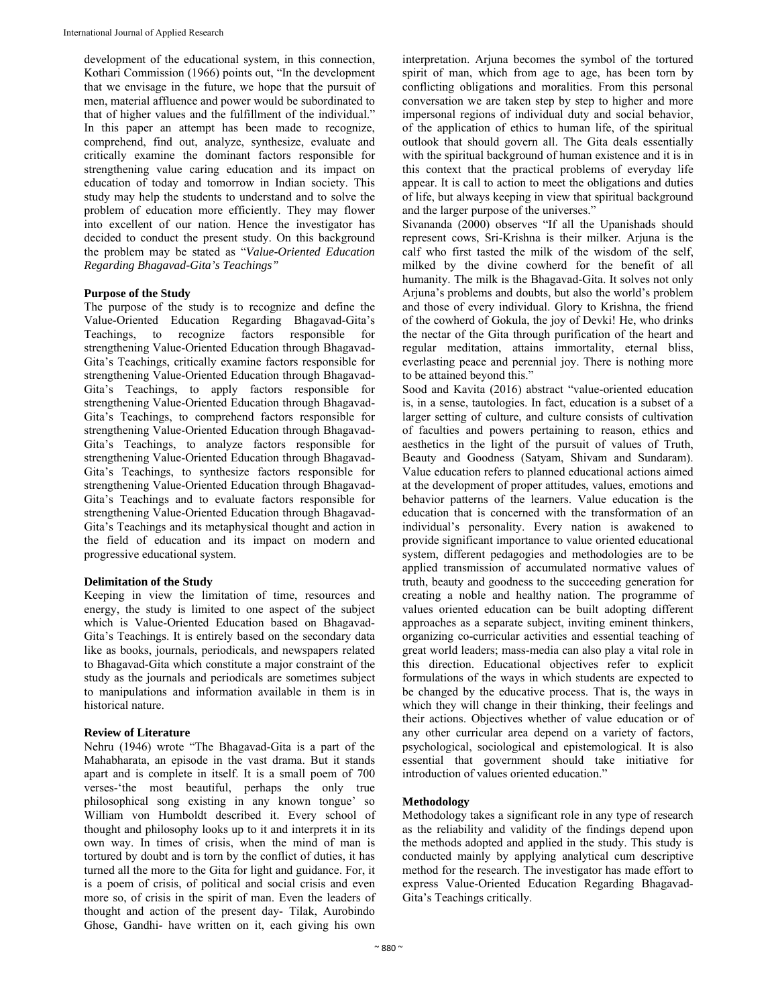development of the educational system, in this connection, Kothari Commission (1966) points out, "In the development that we envisage in the future, we hope that the pursuit of men, material affluence and power would be subordinated to that of higher values and the fulfillment of the individual." In this paper an attempt has been made to recognize, comprehend, find out, analyze, synthesize, evaluate and critically examine the dominant factors responsible for strengthening value caring education and its impact on education of today and tomorrow in Indian society. This study may help the students to understand and to solve the problem of education more efficiently. They may flower into excellent of our nation. Hence the investigator has decided to conduct the present study. On this background the problem may be stated as "*Value-Oriented Education Regarding Bhagavad-Gita's Teachings"*

#### **Purpose of the Study**

The purpose of the study is to recognize and define the Value-Oriented Education Regarding Bhagavad-Gita's Teachings, to recognize factors responsible for strengthening Value-Oriented Education through Bhagavad-Gita's Teachings, critically examine factors responsible for strengthening Value-Oriented Education through Bhagavad-Gita's Teachings, to apply factors responsible for strengthening Value-Oriented Education through Bhagavad-Gita's Teachings, to comprehend factors responsible for strengthening Value-Oriented Education through Bhagavad-Gita's Teachings, to analyze factors responsible for strengthening Value-Oriented Education through Bhagavad-Gita's Teachings, to synthesize factors responsible for strengthening Value-Oriented Education through Bhagavad-Gita's Teachings and to evaluate factors responsible for strengthening Value-Oriented Education through Bhagavad-Gita's Teachings and its metaphysical thought and action in the field of education and its impact on modern and progressive educational system.

#### **Delimitation of the Study**

Keeping in view the limitation of time, resources and energy, the study is limited to one aspect of the subject which is Value-Oriented Education based on Bhagavad-Gita's Teachings. It is entirely based on the secondary data like as books, journals, periodicals, and newspapers related to Bhagavad-Gita which constitute a major constraint of the study as the journals and periodicals are sometimes subject to manipulations and information available in them is in historical nature.

#### **Review of Literature**

Nehru (1946) wrote "The Bhagavad-Gita is a part of the Mahabharata, an episode in the vast drama. But it stands apart and is complete in itself. It is a small poem of 700 verses-'the most beautiful, perhaps the only true philosophical song existing in any known tongue' so William von Humboldt described it. Every school of thought and philosophy looks up to it and interprets it in its own way. In times of crisis, when the mind of man is tortured by doubt and is torn by the conflict of duties, it has turned all the more to the Gita for light and guidance. For, it is a poem of crisis, of political and social crisis and even more so, of crisis in the spirit of man. Even the leaders of thought and action of the present day- Tilak, Aurobindo Ghose, Gandhi- have written on it, each giving his own

interpretation. Arjuna becomes the symbol of the tortured spirit of man, which from age to age, has been torn by conflicting obligations and moralities. From this personal conversation we are taken step by step to higher and more impersonal regions of individual duty and social behavior, of the application of ethics to human life, of the spiritual outlook that should govern all. The Gita deals essentially with the spiritual background of human existence and it is in this context that the practical problems of everyday life appear. It is call to action to meet the obligations and duties of life, but always keeping in view that spiritual background and the larger purpose of the universes."

Sivananda (2000) observes "If all the Upanishads should represent cows, Sri-Krishna is their milker. Arjuna is the calf who first tasted the milk of the wisdom of the self, milked by the divine cowherd for the benefit of all humanity. The milk is the Bhagavad-Gita. It solves not only Arjuna's problems and doubts, but also the world's problem and those of every individual. Glory to Krishna, the friend of the cowherd of Gokula, the joy of Devki! He, who drinks the nectar of the Gita through purification of the heart and regular meditation, attains immortality, eternal bliss, everlasting peace and perennial joy. There is nothing more to be attained beyond this."

Sood and Kavita (2016) abstract "value-oriented education is, in a sense, tautologies. In fact, education is a subset of a larger setting of culture, and culture consists of cultivation of faculties and powers pertaining to reason, ethics and aesthetics in the light of the pursuit of values of Truth, Beauty and Goodness (Satyam, Shivam and Sundaram). Value education refers to planned educational actions aimed at the development of proper attitudes, values, emotions and behavior patterns of the learners. Value education is the education that is concerned with the transformation of an individual's personality. Every nation is awakened to provide significant importance to value oriented educational system, different pedagogies and methodologies are to be applied transmission of accumulated normative values of truth, beauty and goodness to the succeeding generation for creating a noble and healthy nation. The programme of values oriented education can be built adopting different approaches as a separate subject, inviting eminent thinkers, organizing co-curricular activities and essential teaching of great world leaders; mass-media can also play a vital role in this direction. Educational objectives refer to explicit formulations of the ways in which students are expected to be changed by the educative process. That is, the ways in which they will change in their thinking, their feelings and their actions. Objectives whether of value education or of any other curricular area depend on a variety of factors, psychological, sociological and epistemological. It is also essential that government should take initiative for introduction of values oriented education."

### **Methodology**

Methodology takes a significant role in any type of research as the reliability and validity of the findings depend upon the methods adopted and applied in the study. This study is conducted mainly by applying analytical cum descriptive method for the research. The investigator has made effort to express Value-Oriented Education Regarding Bhagavad-Gita's Teachings critically.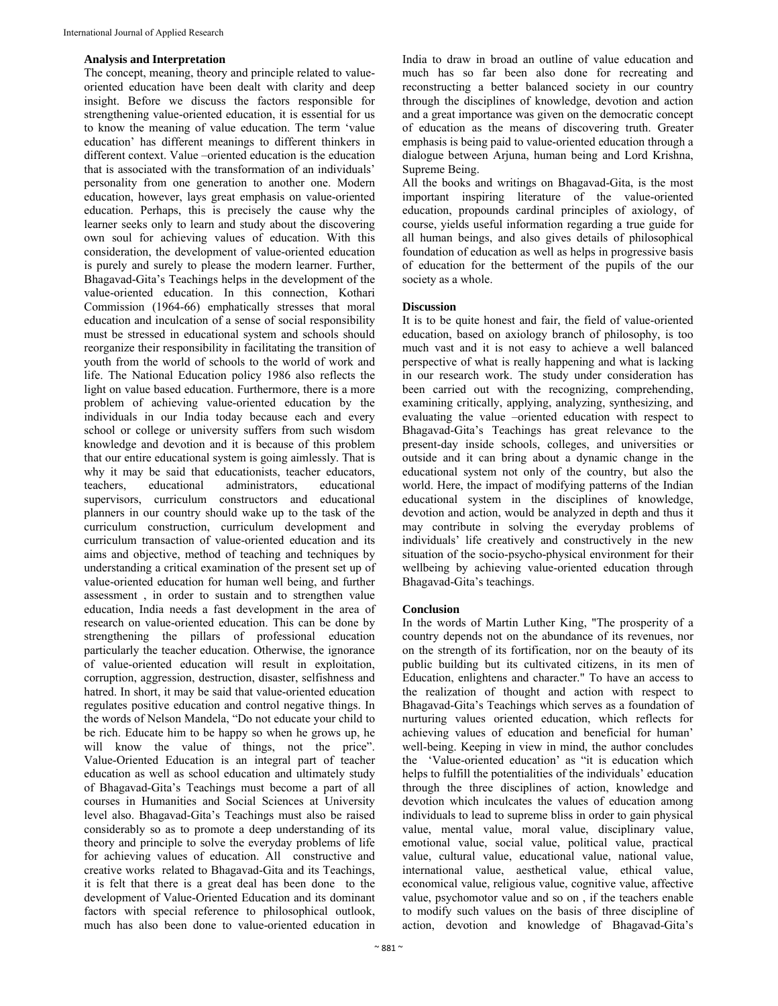#### **Analysis and Interpretation**

The concept, meaning, theory and principle related to valueoriented education have been dealt with clarity and deep insight. Before we discuss the factors responsible for strengthening value-oriented education, it is essential for us to know the meaning of value education. The term 'value education' has different meanings to different thinkers in different context. Value –oriented education is the education that is associated with the transformation of an individuals' personality from one generation to another one. Modern education, however, lays great emphasis on value-oriented education. Perhaps, this is precisely the cause why the learner seeks only to learn and study about the discovering own soul for achieving values of education. With this consideration, the development of value-oriented education is purely and surely to please the modern learner. Further, Bhagavad-Gita's Teachings helps in the development of the value-oriented education. In this connection, Kothari Commission (1964-66) emphatically stresses that moral education and inculcation of a sense of social responsibility must be stressed in educational system and schools should reorganize their responsibility in facilitating the transition of youth from the world of schools to the world of work and life. The National Education policy 1986 also reflects the light on value based education. Furthermore, there is a more problem of achieving value-oriented education by the individuals in our India today because each and every school or college or university suffers from such wisdom knowledge and devotion and it is because of this problem that our entire educational system is going aimlessly. That is why it may be said that educationists, teacher educators, teachers, educational administrators, educational supervisors, curriculum constructors and educational planners in our country should wake up to the task of the curriculum construction, curriculum development and curriculum transaction of value-oriented education and its aims and objective, method of teaching and techniques by understanding a critical examination of the present set up of value-oriented education for human well being, and further assessment , in order to sustain and to strengthen value education, India needs a fast development in the area of research on value-oriented education. This can be done by strengthening the pillars of professional education particularly the teacher education. Otherwise, the ignorance of value-oriented education will result in exploitation, corruption, aggression, destruction, disaster, selfishness and hatred. In short, it may be said that value-oriented education regulates positive education and control negative things. In the words of Nelson Mandela, "Do not educate your child to be rich. Educate him to be happy so when he grows up, he will know the value of things, not the price". Value-Oriented Education is an integral part of teacher education as well as school education and ultimately study of Bhagavad-Gita's Teachings must become a part of all courses in Humanities and Social Sciences at University level also. Bhagavad-Gita's Teachings must also be raised considerably so as to promote a deep understanding of its theory and principle to solve the everyday problems of life for achieving values of education. All constructive and creative works related to Bhagavad-Gita and its Teachings, it is felt that there is a great deal has been done to the development of Value-Oriented Education and its dominant factors with special reference to philosophical outlook, much has also been done to value-oriented education in

India to draw in broad an outline of value education and much has so far been also done for recreating and reconstructing a better balanced society in our country through the disciplines of knowledge, devotion and action and a great importance was given on the democratic concept of education as the means of discovering truth. Greater emphasis is being paid to value-oriented education through a dialogue between Arjuna, human being and Lord Krishna, Supreme Being.

All the books and writings on Bhagavad-Gita, is the most important inspiring literature of the value-oriented education, propounds cardinal principles of axiology, of course, yields useful information regarding a true guide for all human beings, and also gives details of philosophical foundation of education as well as helps in progressive basis of education for the betterment of the pupils of the our society as a whole.

# **Discussion**

It is to be quite honest and fair, the field of value-oriented education, based on axiology branch of philosophy, is too much vast and it is not easy to achieve a well balanced perspective of what is really happening and what is lacking in our research work. The study under consideration has been carried out with the recognizing, comprehending, examining critically, applying, analyzing, synthesizing, and evaluating the value –oriented education with respect to Bhagavad-Gita's Teachings has great relevance to the present-day inside schools, colleges, and universities or outside and it can bring about a dynamic change in the educational system not only of the country, but also the world. Here, the impact of modifying patterns of the Indian educational system in the disciplines of knowledge, devotion and action, would be analyzed in depth and thus it may contribute in solving the everyday problems of individuals' life creatively and constructively in the new situation of the socio-psycho-physical environment for their wellbeing by achieving value-oriented education through Bhagavad-Gita's teachings.

# **Conclusion**

In the words of Martin Luther King, "The prosperity of a country depends not on the abundance of its revenues, nor on the strength of its fortification, nor on the beauty of its public building but its cultivated citizens, in its men of Education, enlightens and character." To have an access to the realization of thought and action with respect to Bhagavad-Gita's Teachings which serves as a foundation of nurturing values oriented education, which reflects for achieving values of education and beneficial for human' well-being. Keeping in view in mind, the author concludes the 'Value-oriented education' as "it is education which helps to fulfill the potentialities of the individuals' education through the three disciplines of action, knowledge and devotion which inculcates the values of education among individuals to lead to supreme bliss in order to gain physical value, mental value, moral value, disciplinary value, emotional value, social value, political value, practical value, cultural value, educational value, national value, international value, aesthetical value, ethical value, economical value, religious value, cognitive value, affective value, psychomotor value and so on , if the teachers enable to modify such values on the basis of three discipline of action, devotion and knowledge of Bhagavad-Gita's